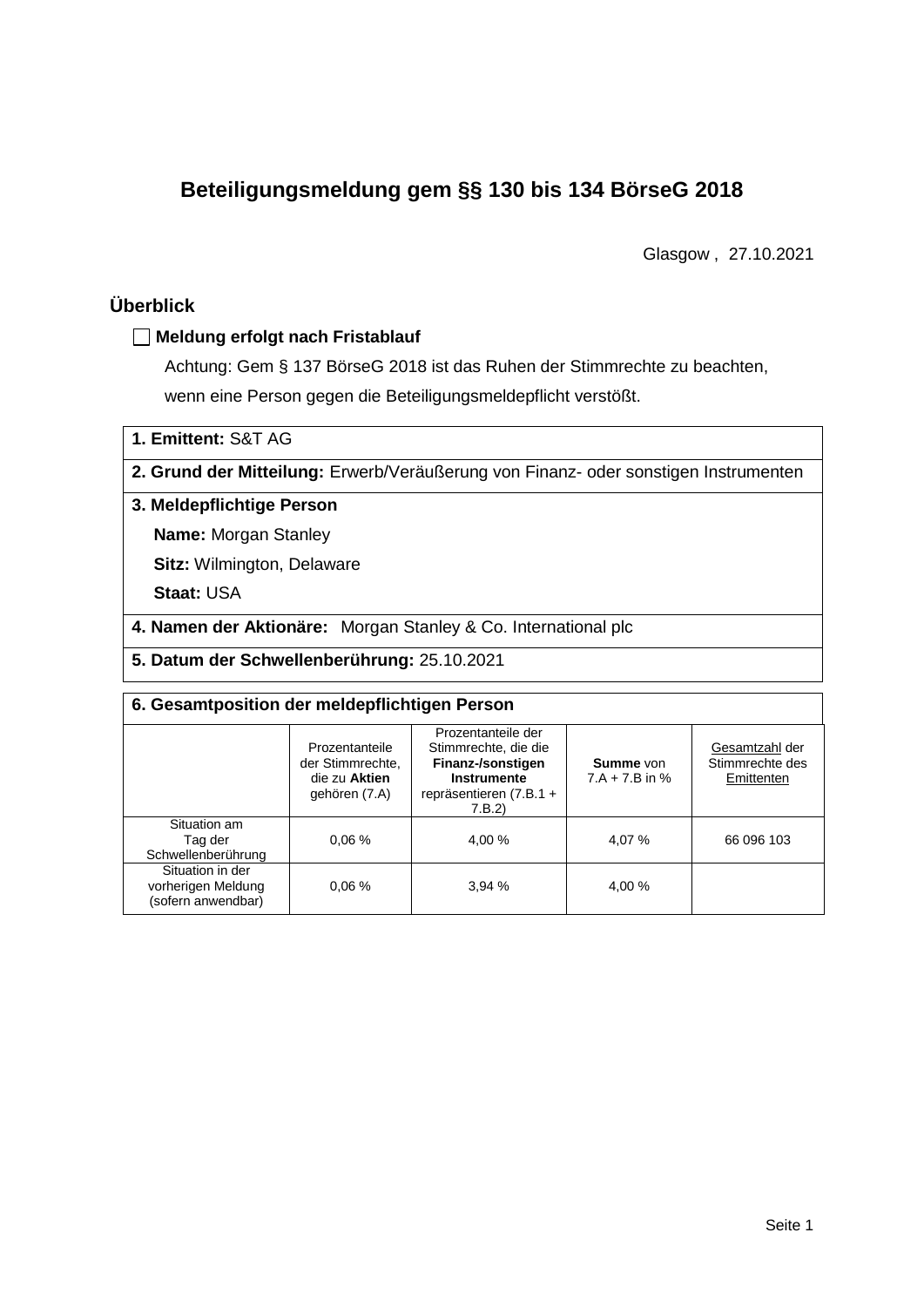# **Beteiligungsmeldung gem §§ 130 bis 134 BörseG 2018**

Glasgow , 27.10.2021

## **Überblick**

### **Meldung erfolgt nach Fristablauf**

Achtung: Gem § 137 BörseG 2018 ist das Ruhen der Stimmrechte zu beachten, wenn eine Person gegen die Beteiligungsmeldepflicht verstößt.

**1. Emittent:** S&T AG

**2. Grund der Mitteilung:** Erwerb/Veräußerung von Finanz- oder sonstigen Instrumenten

### **3. Meldepflichtige Person**

**Name:** Morgan Stanley

**Sitz:** Wilmington, Delaware

**Staat:** USA

**4. Namen der Aktionäre:** Morgan Stanley & Co. International plc

**5. Datum der Schwellenberührung:** 25.10.2021

| 6. Gesamtposition der meldepflichtigen Person                |                                                                      |                                                                                                                      |                                      |                                                 |  |  |
|--------------------------------------------------------------|----------------------------------------------------------------------|----------------------------------------------------------------------------------------------------------------------|--------------------------------------|-------------------------------------------------|--|--|
|                                                              | Prozentanteile<br>der Stimmrechte.<br>die zu Aktien<br>gehören (7.A) | Prozentanteile der<br>Stimmrechte, die die<br>Finanz-/sonstigen<br>Instrumente<br>repräsentieren $(7.B.1 +$<br>7.B.2 | <b>Summe</b> von<br>$7.A + 7.B$ in % | Gesamtzahl der<br>Stimmrechte des<br>Emittenten |  |  |
| Situation am<br>Tag der<br>Schwellenberührung                | 0.06%                                                                | 4.00 %                                                                                                               | 4,07 %                               | 66 096 103                                      |  |  |
| Situation in der<br>vorherigen Meldung<br>(sofern anwendbar) | 0.06%                                                                | 3.94%                                                                                                                | 4,00 %                               |                                                 |  |  |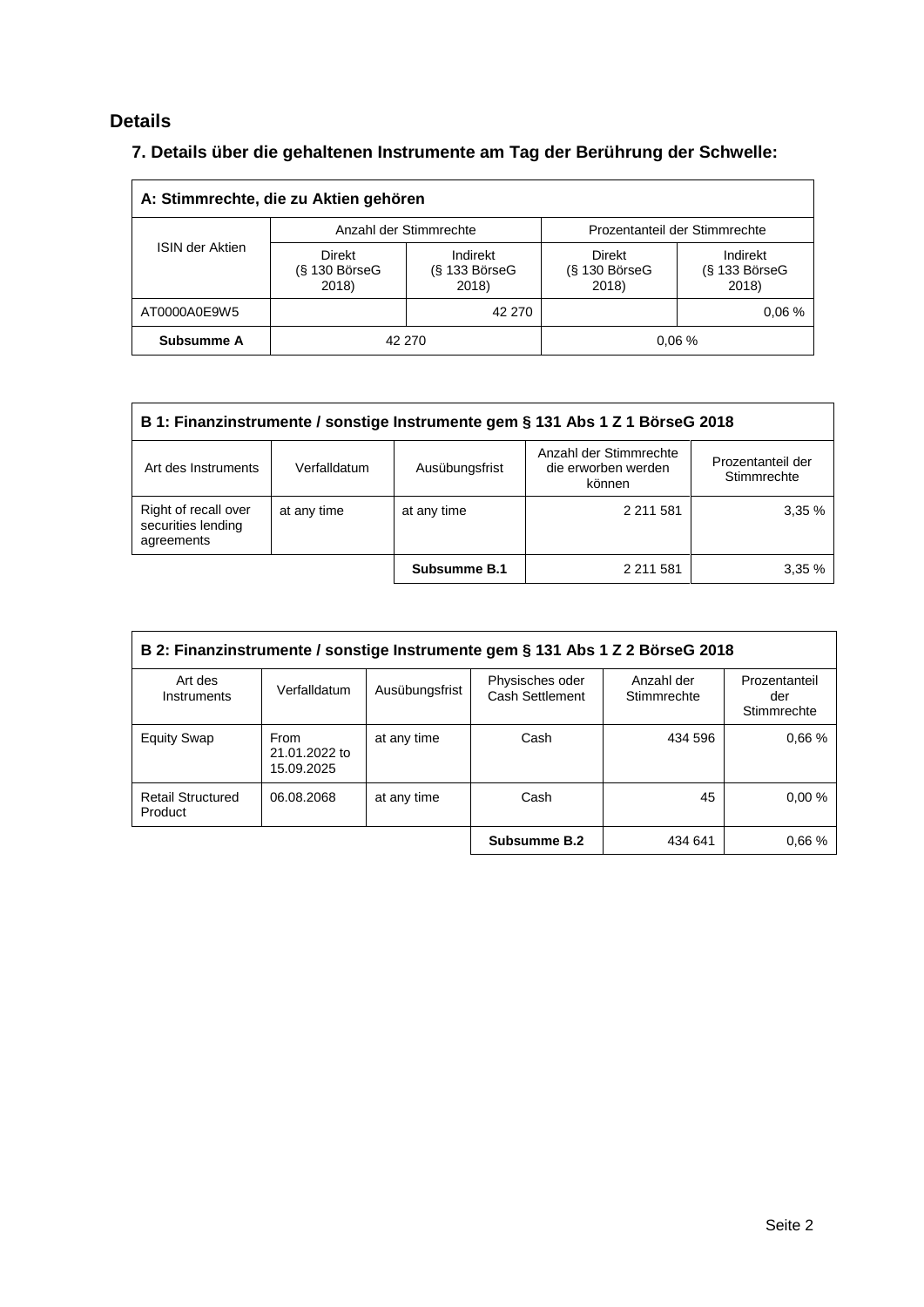# **Details**

# **7. Details über die gehaltenen Instrumente am Tag der Berührung der Schwelle:**

| A: Stimmrechte, die zu Aktien gehören |                                    |                                         |                                  |                                    |  |  |
|---------------------------------------|------------------------------------|-----------------------------------------|----------------------------------|------------------------------------|--|--|
|                                       | Anzahl der Stimmrechte             |                                         | Prozentanteil der Stimmrechte    |                                    |  |  |
| <b>ISIN der Aktien</b>                | Direkt<br>$(S$ 130 BörseG<br>2018) | Indirekt<br>$(S$ 133 Börse $G$<br>2018) | Direkt<br>(§ 130 BörseG<br>2018) | Indirekt<br>(§ 133 BörseG<br>2018) |  |  |
| AT0000A0E9W5                          |                                    | 42 270                                  |                                  | 0.06%                              |  |  |
| Subsumme A                            | 42 270                             |                                         |                                  | 0.06%                              |  |  |

| B 1: Finanzinstrumente / sonstige Instrumente gem § 131 Abs 1 Z 1 BörseG 2018 |              |                |                                                         |                                  |  |
|-------------------------------------------------------------------------------|--------------|----------------|---------------------------------------------------------|----------------------------------|--|
| Art des Instruments                                                           | Verfalldatum | Ausübungsfrist | Anzahl der Stimmrechte<br>die erworben werden<br>können | Prozentanteil der<br>Stimmrechte |  |
| Right of recall over<br>securities lending<br>agreements                      | at any time  | at any time    | 2 2 1 5 8 1                                             | 3.35%                            |  |
|                                                                               |              | Subsumme B.1   | 2 211 581                                               | 3.35%                            |  |

| B 2: Finanzinstrumente / sonstige Instrumente gem § 131 Abs 1 Z 2 BörseG 2018 |                                     |                |                                    |                           |                                     |
|-------------------------------------------------------------------------------|-------------------------------------|----------------|------------------------------------|---------------------------|-------------------------------------|
| Art des<br>Instruments                                                        | Verfalldatum                        | Ausübungsfrist | Physisches oder<br>Cash Settlement | Anzahl der<br>Stimmrechte | Prozentanteil<br>der<br>Stimmrechte |
| <b>Equity Swap</b>                                                            | From<br>21.01.2022 to<br>15.09.2025 | at any time    | Cash                               | 434 596                   | 0.66%                               |
| <b>Retail Structured</b><br>Product                                           | 06.08.2068                          | at any time    | Cash                               | 45                        | 0.00%                               |
|                                                                               |                                     |                | Subsumme B.2                       | 434 641                   | 0.66%                               |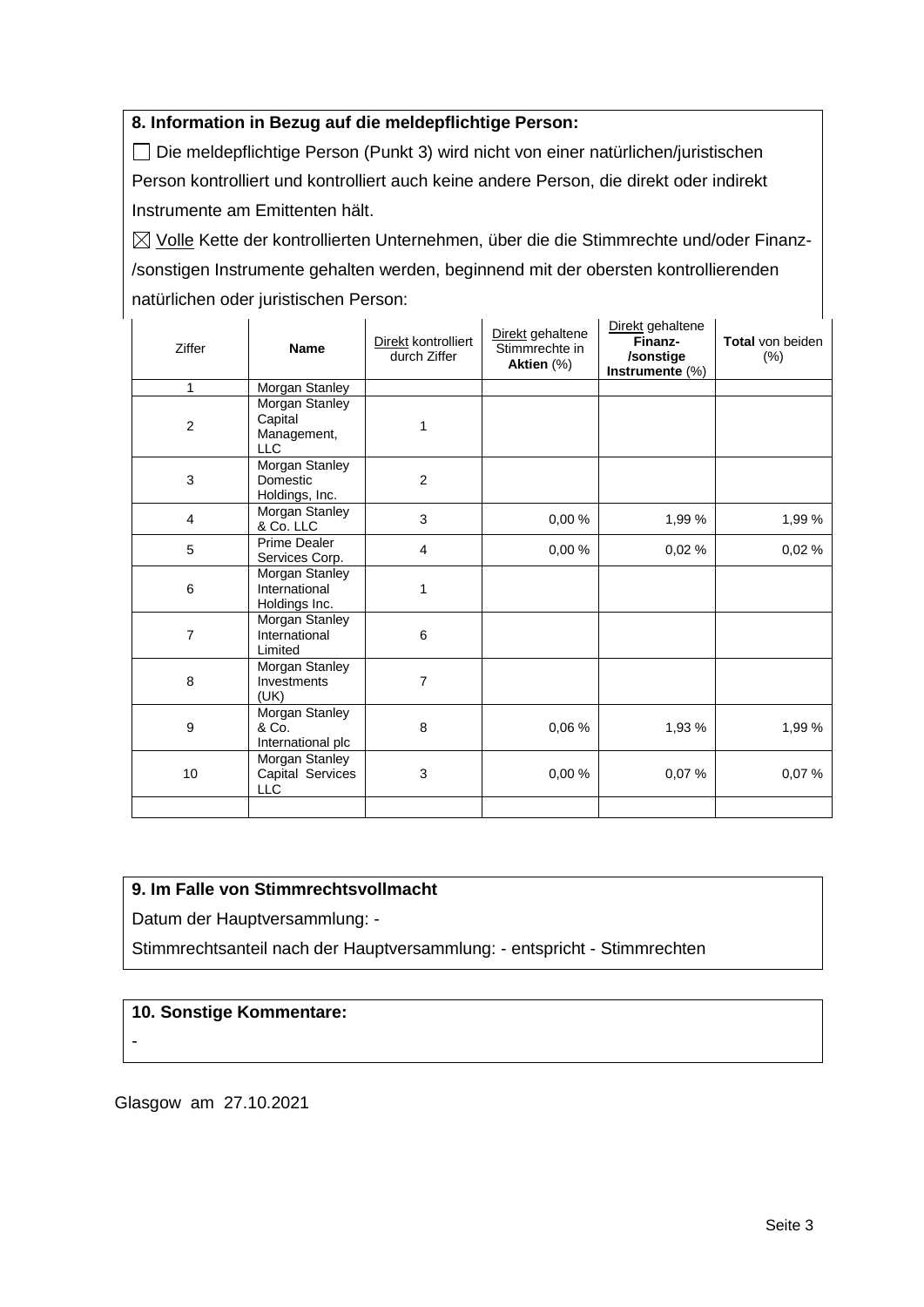### **8. Information in Bezug auf die meldepflichtige Person:**

Die meldepflichtige Person (Punkt 3) wird nicht von einer natürlichen/juristischen Person kontrolliert und kontrolliert auch keine andere Person, die direkt oder indirekt Instrumente am Emittenten hält.

 $\boxtimes$  Volle Kette der kontrollierten Unternehmen, über die die Stimmrechte und/oder Finanz-/sonstigen Instrumente gehalten werden, beginnend mit der obersten kontrollierenden natürlichen oder juristischen Person:

| Ziffer                  | <b>Name</b>                                            | Direkt kontrolliert<br>durch Ziffer | Direkt gehaltene<br>Stimmrechte in<br>Aktien (%) | Direkt gehaltene<br>Finanz-<br>/sonstige<br>Instrumente (%) | Total von beiden<br>$(\%)$ |
|-------------------------|--------------------------------------------------------|-------------------------------------|--------------------------------------------------|-------------------------------------------------------------|----------------------------|
| $\mathbf{1}$            | <b>Morgan Stanley</b>                                  |                                     |                                                  |                                                             |                            |
| $\overline{c}$          | Morgan Stanley<br>Capital<br>Management,<br><b>LLC</b> | 1                                   |                                                  |                                                             |                            |
| $\mathbf{3}$            | <b>Morgan Stanley</b><br>Domestic<br>Holdings, Inc.    | $\overline{2}$                      |                                                  |                                                             |                            |
| $\overline{\mathbf{4}}$ | Morgan Stanley<br>& Co. LLC                            | 3                                   | 0,00 %                                           | 1,99 %                                                      | 1,99 %                     |
| 5                       | <b>Prime Dealer</b><br>Services Corp.                  | 4                                   | 0.00%                                            | 0,02%                                                       | 0,02%                      |
| 6                       | Morgan Stanley<br>International<br>Holdings Inc.       | 1                                   |                                                  |                                                             |                            |
| $\overline{7}$          | Morgan Stanley<br>International<br>Limited             | 6                                   |                                                  |                                                             |                            |
| 8                       | Morgan Stanley<br>Investments<br>(UK)                  | 7                                   |                                                  |                                                             |                            |
| 9                       | <b>Morgan Stanley</b><br>& Co.<br>International plc    | 8                                   | 0,06%                                            | 1,93 %                                                      | 1,99 %                     |
| 10                      | Morgan Stanley<br>Capital Services<br><b>LLC</b>       | 3                                   | 0.00%                                            | 0,07%                                                       | 0.07%                      |
|                         |                                                        |                                     |                                                  |                                                             |                            |

### **9. Im Falle von Stimmrechtsvollmacht**

Datum der Hauptversammlung: -

Stimmrechtsanteil nach der Hauptversammlung: - entspricht - Stimmrechten

#### **10. Sonstige Kommentare:**

-

Glasgow am 27.10.2021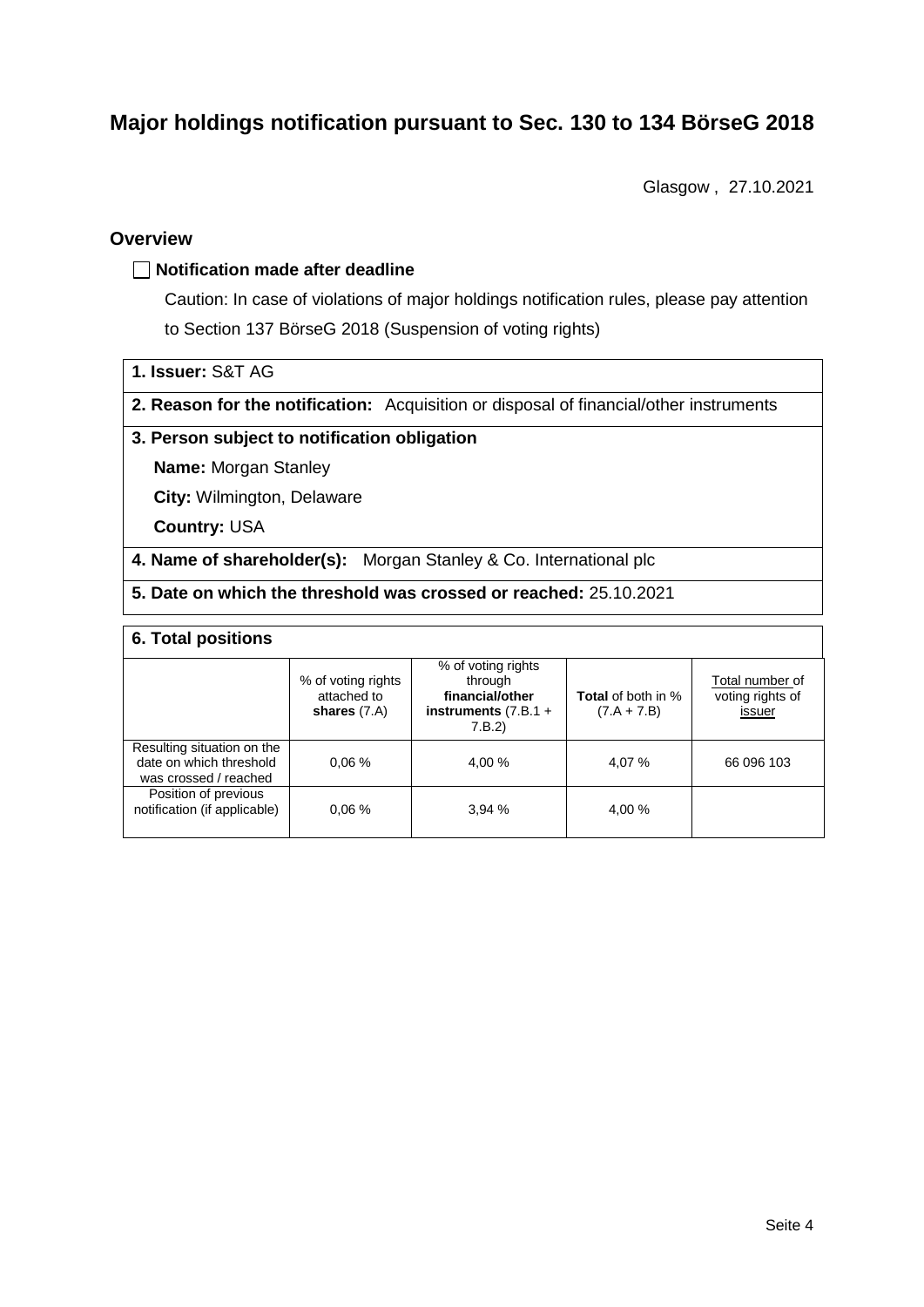# **Major holdings notification pursuant to Sec. 130 to 134 BörseG 2018**

Glasgow , 27.10.2021

### **Overview**

#### **Notification made after deadline**

Caution: In case of violations of major holdings notification rules, please pay attention to Section 137 BörseG 2018 (Suspension of voting rights)

- **1. Issuer:** S&T AG
- **2. Reason for the notification:** Acquisition or disposal of financial/other instruments

#### **3. Person subject to notification obligation**

**Name:** Morgan Stanley

**City:** Wilmington, Delaware

**Country:** USA

**4. Name of shareholder(s):** Morgan Stanley & Co. International plc

**5. Date on which the threshold was crossed or reached:** 25.10.2021

### **6. Total positions**

|                                                                                | % of voting rights<br>attached to<br>shares $(7.A)$ | % of voting rights<br>through<br>financial/other<br>instruments $(7.B.1 +$<br>7.B.2 | <b>Total</b> of both in %<br>$(7.A + 7.B)$ | Total number of<br>voting rights of<br>issuer |  |  |
|--------------------------------------------------------------------------------|-----------------------------------------------------|-------------------------------------------------------------------------------------|--------------------------------------------|-----------------------------------------------|--|--|
| Resulting situation on the<br>date on which threshold<br>was crossed / reached | 0.06%                                               | 4.00 %                                                                              | 4.07 %                                     | 66 096 103                                    |  |  |
| Position of previous<br>notification (if applicable)                           | 0.06%                                               | 3.94%                                                                               | 4.00 %                                     |                                               |  |  |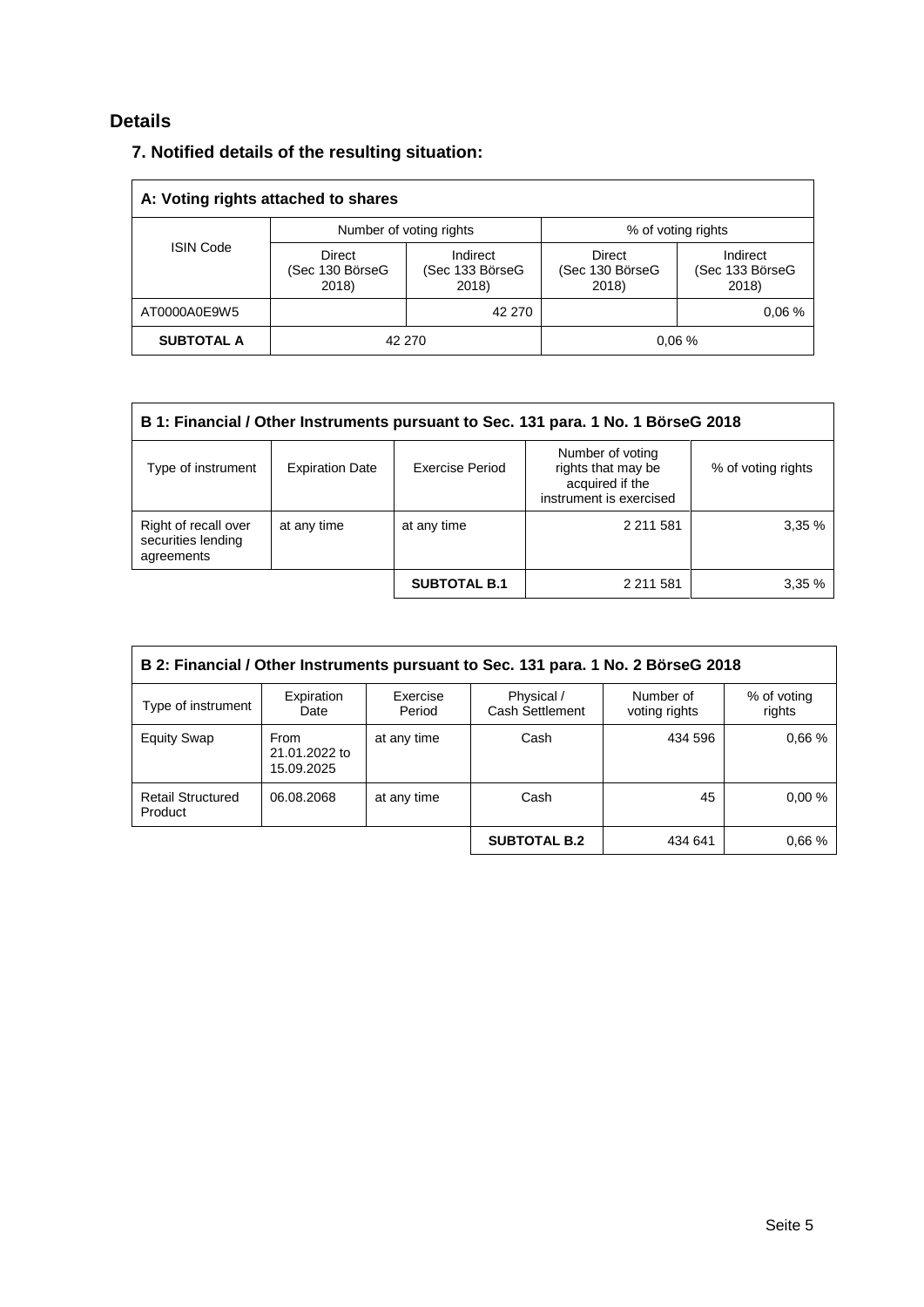## **Details**

|  |  |  |  |  | 7. Notified details of the resulting situation: |
|--|--|--|--|--|-------------------------------------------------|
|--|--|--|--|--|-------------------------------------------------|

| A: Voting rights attached to shares |                                    |                                      |                                    |                                      |  |  |
|-------------------------------------|------------------------------------|--------------------------------------|------------------------------------|--------------------------------------|--|--|
| <b>ISIN Code</b>                    | Number of voting rights            |                                      | % of voting rights                 |                                      |  |  |
|                                     | Direct<br>(Sec 130 BörseG<br>2018) | Indirect<br>(Sec 133 BörseG<br>2018) | Direct<br>(Sec 130 BörseG<br>2018) | Indirect<br>(Sec 133 BörseG<br>2018) |  |  |
| AT0000A0E9W5                        |                                    | 42 270                               |                                    | 0.06%                                |  |  |
| <b>SUBTOTAL A</b>                   | 42 270                             |                                      |                                    | 0.06%                                |  |  |

| B 1: Financial / Other Instruments pursuant to Sec. 131 para. 1 No. 1 BörseG 2018 |                                                                                                                                                         |                     |             |       |  |  |
|-----------------------------------------------------------------------------------|---------------------------------------------------------------------------------------------------------------------------------------------------------|---------------------|-------------|-------|--|--|
| Type of instrument                                                                | Number of voting<br>rights that may be<br><b>Expiration Date</b><br>Exercise Period<br>% of voting rights<br>acquired if the<br>instrument is exercised |                     |             |       |  |  |
| Right of recall over<br>securities lending<br>agreements                          | at any time                                                                                                                                             | at any time         | 2 2 1 5 8 1 | 3,35% |  |  |
|                                                                                   |                                                                                                                                                         | <b>SUBTOTAL B.1</b> | 2 211 581   | 3,35% |  |  |

| B 2: Financial / Other Instruments pursuant to Sec. 131 para. 1 No. 2 BörseG 2018 |                                     |                    |                               |                            |                       |
|-----------------------------------------------------------------------------------|-------------------------------------|--------------------|-------------------------------|----------------------------|-----------------------|
| Type of instrument                                                                | Expiration<br>Date                  | Exercise<br>Period | Physical /<br>Cash Settlement | Number of<br>voting rights | % of voting<br>rights |
| <b>Equity Swap</b>                                                                | From<br>21.01.2022 to<br>15.09.2025 | at any time        | Cash                          | 434 596                    | 0.66%                 |
| <b>Retail Structured</b><br>Product                                               | 06.08.2068                          | at any time        | Cash                          | 45                         | 0.00%                 |
|                                                                                   |                                     |                    | <b>SUBTOTAL B.2</b>           | 434 641                    | 0.66%                 |